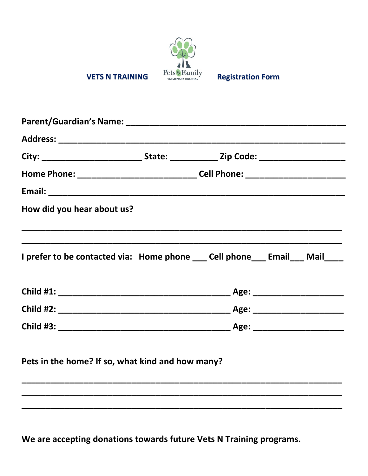

We are accepting donations towards future Vets N Training programs.